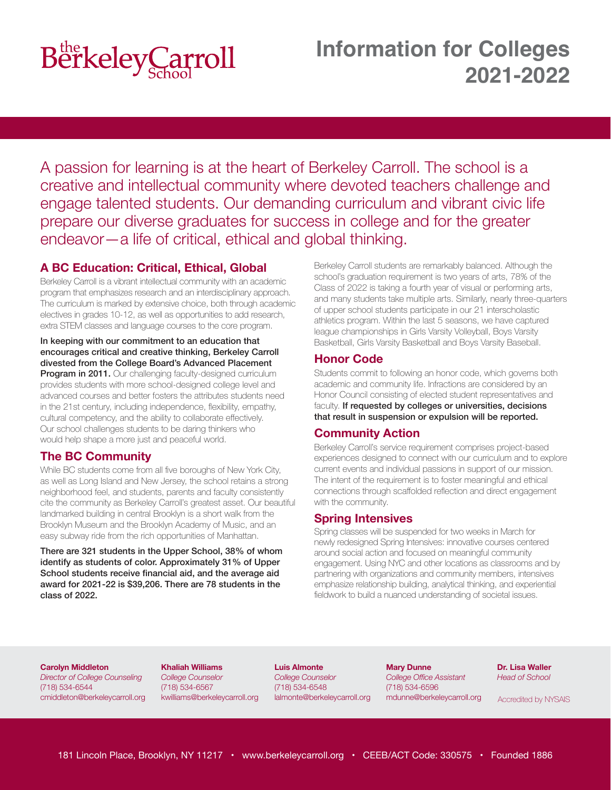

A passion for learning is at the heart of Berkeley Carroll. The school is a creative and intellectual community where devoted teachers challenge and engage talented students. Our demanding curriculum and vibrant civic life prepare our diverse graduates for success in college and for the greater endeavor—a life of critical, ethical and global thinking.

### **A BC Education: Critical, Ethical, Global**

Berkeley Carroll is a vibrant intellectual community with an academic program that emphasizes research and an interdisciplinary approach. The curriculum is marked by extensive choice, both through academic electives in grades 10-12, as well as opportunities to add research, extra STEM classes and language courses to the core program.

#### In keeping with our commitment to an education that encourages critical and creative thinking, Berkeley Carroll divested from the College Board's Advanced Placement

Program in 2011. Our challenging faculty-designed curriculum provides students with more school-designed college level and advanced courses and better fosters the attributes students need in the 21st century, including independence, flexibility, empathy, cultural competency, and the ability to collaborate effectively. Our school challenges students to be daring thinkers who would help shape a more just and peaceful world.

### **The BC Community**

While BC students come from all five boroughs of New York City, as well as Long Island and New Jersey, the school retains a strong neighborhood feel, and students, parents and faculty consistently cite the community as Berkeley Carroll's greatest asset. Our beautiful landmarked building in central Brooklyn is a short walk from the Brooklyn Museum and the Brooklyn Academy of Music, and an easy subway ride from the rich opportunities of Manhattan.

There are 321 students in the Upper School, 38% of whom identify as students of color. Approximately 31% of Upper School students receive financial aid, and the average aid award for 2021-22 is \$39,206. There are 78 students in the class of 2022.

Berkeley Carroll students are remarkably balanced. Although the school's graduation requirement is two years of arts, 78% of the Class of 2022 is taking a fourth year of visual or performing arts, and many students take multiple arts. Similarly, nearly three-quarters of upper school students participate in our 21 interscholastic athletics program. Within the last 5 seasons, we have captured league championships in Girls Varsity Volleyball, Boys Varsity Basketball, Girls Varsity Basketball and Boys Varsity Baseball.

### **Honor Code**

Students commit to following an honor code, which governs both academic and community life. Infractions are considered by an Honor Council consisting of elected student representatives and faculty. If requested by colleges or universities, decisions that result in suspension or expulsion will be reported.

### **Community Action**

Berkeley Carroll's service requirement comprises project-based experiences designed to connect with our curriculum and to explore current events and individual passions in support of our mission. The intent of the requirement is to foster meaningful and ethical connections through scaffolded reflection and direct engagement with the community.

### **Spring Intensives**

Spring classes will be suspended for two weeks in March for newly redesigned Spring Intensives: innovative courses centered around social action and focused on meaningful community engagement. Using NYC and other locations as classrooms and by partnering with organizations and community members, intensives emphasize relationship building, analytical thinking, and experiential fieldwork to build a nuanced understanding of societal issues.

#### **Carolyn Middleton**

*Director of College Counseling* (718) 534-6544 cmiddleton@berkeleycarroll.org **Khaliah Williams** *College Counselor* (718) 534-6567 kwilliams@berkeleycarroll.org

**Luis Almonte** *College Counselor* (718) 534-6548 lalmonte@berkeleycarroll.org

**Mary Dunne** *College Office Assistant* (718) 534-6596 mdunne@berkeleycarroll.org **Dr. Lisa Waller** *Head of School*

Accredited by NYSAIS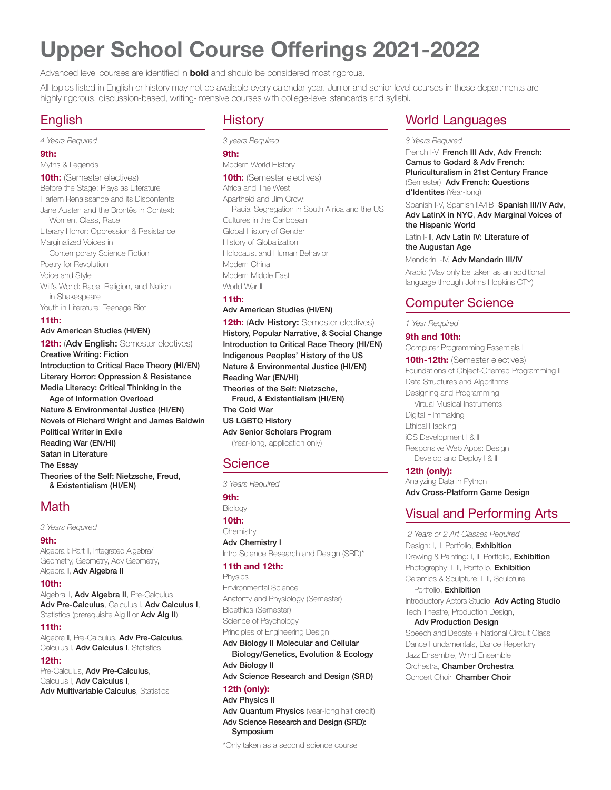# **Upper School Course Offerings 2021-2022**

Advanced level courses are identified in **bold** and should be considered most rigorous.

All topics listed in English or history may not be available every calendar year. Junior and senior level courses in these departments are highly rigorous, discussion-based, writing-intensive courses with college-level standards and syllabi.

### English

*4 Years Required*

### **9th:**

Myths & Legends **10th:** (Semester electives) Before the Stage: Plays as Literature Harlem Renaissance and its Discontents Jane Austen and the Brontës in Context: Women, Class, Race Literary Horror: Oppression & Resistance Marginalized Voices in Contemporary Science Fiction Poetry for Revolution Voice and Style Will's World: Race, Religion, and Nation in Shakespeare Youth in Literature: Teenage Riot **11th:** Adv American Studies (HI/EN) **12th: (Adv English: Semester electives)** 

Creative Writing: Fiction Introduction to Critical Race Theory (HI/EN) Literary Horror: Oppression & Resistance Media Literacy: Critical Thinking in the

Age of Information Overload Nature & Environmental Justice (HI/EN) Novels of Richard Wright and James Baldwin Political Writer in Exile Reading War (EN/HI) Satan in Literature The Essay Theories of the Self: Nietzsche, Freud, & Existentialism (HI/EN)

### Math

*3 Years Required*

#### **9th:**

Algebra I: Part II, Integrated Algebra/ Geometry, Geometry, Adv Geometry, Algebra II, Adv Algebra II

#### **10th:**

Algebra II, **Adv Algebra II**, Pre-Calculus, Adv Pre-Calculus, Calculus I, Adv Calculus I, Statistics (prerequisite Alg II or Adv Alg II)

#### **11th:**

Algebra II, Pre-Calculus, Adv Pre-Calculus, Calculus I, Adv Calculus I, Statistics

#### **12th:**

Pre-Calculus, Adv Pre-Calculus, Calculus **I, Adv Calculus I**, Adv Multivariable Calculus, Statistics

### History

*3 years Required* **9th:** Modern World History **10th:** (Semester electives) Africa and The West Apartheid and Jim Crow: Racial Segregation in South Africa and the US Cultures in the Caribbean Global History of Gender History of Globalization Holocaust and Human Behavior Modern China Modern Middle East World War II **11th:**  Adv American Studies (HI/EN)

#### **12th: (Adv History: Semester electives)** History, Popular Narrative, & Social Change Introduction to Critical Race Theory (HI/EN) Indigenous Peoples' History of the US Nature & Environmental Justice (HI/EN) Reading War (EN/HI) Theories of the Self: Nietzsche, Freud, & Existentialism (HI/EN)

The Cold War US LGBTQ History

Adv Senior Scholars Program

(Year-long, application only)

### **Science**

*3 Years Required*

**9th:** Biology

**10th: Chemistry** Adv Chemistry I Intro Science Research and Design (SRD)\*

#### **11th and 12th:**

Physics Environmental Science Anatomy and Physiology (Semester) Bioethics (Semester) Science of Psychology Principles of Engineering Design

Adv Biology II Molecular and Cellular Biology/Genetics, Evolution & Ecology Adv Biology II Adv Science Research and Design (SRD)

## **12th (only):**

#### Adv Physics II

Adv Quantum Physics (year-long half credit) Adv Science Research and Design (SRD): Symposium

\*Only taken as a second science course

### World Languages

#### *3 Years Required*

French I-V, French III Adv, Adv French: Camus to Godard & Adv French: Pluriculturalism in 21st Century France (Semester), Adv French: Questions d'Identites (Year-long)

Spanish I-V, Spanish IIA/IIB, Spanish III/IV Adv, Adv LatinX in NYC, Adv Marginal Voices of the Hispanic World

Latin I-III, Adv Latin IV: Literature of the Augustan Age

Mandarin I-IV, Adv Mandarin III/IV

Arabic (May only be taken as an additional language through Johns Hopkins CTY)

### Computer Science

*1 Year Required*

#### **9th and 10th:**

Computer Programming Essentials I

**10th-12th:** (Semester electives) Foundations of Object-Oriented Programming II Data Structures and Algorithms Designing and Programming Virtual Musical Instruments Digital Filmmaking Ethical Hacking iOS Development I & II Responsive Web Apps: Design, Develop and Deploy | & II

#### **12th (only):**

Analyzing Data in Python Adv Cross-Platform Game Design

### Visual and Performing Arts

 *2 Years or 2 Art Classes Required* Design: I. II. Portfolio. Exhibition Drawing & Painting: I, II, Portfolio, Exhibition Photography: I, II, Portfolio, Exhibition Ceramics & Sculpture: I, II, Sculpture Portfolio. **Exhibition** Introductory Actors Studio, Adv Acting Studio Tech Theatre, Production Design, Adv Production Design Speech and Debate + National Circuit Class Dance Fundamentals, Dance Repertory Jazz Ensemble, Wind Ensemble Orchestra, Chamber Orchestra Concert Choir, **Chamber Choir**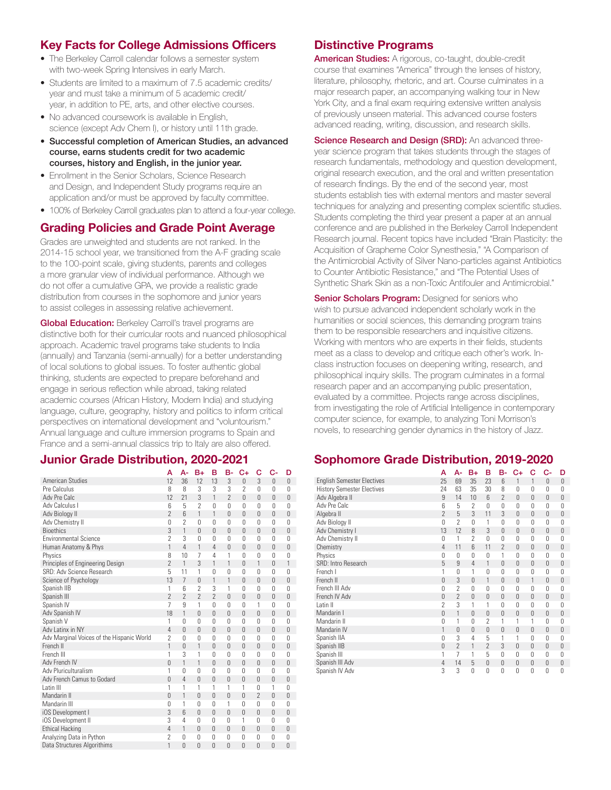### **Key Facts for College Admissions Officers**

- The Berkeley Carroll calendar follows a semester system with two-week Spring Intensives in early March.
- Students are limited to a maximum of 7.5 academic credits/ year and must take a minimum of 5 academic credit/ year, in addition to PE, arts, and other elective courses.
- No advanced coursework is available in English, science (except Adv Chem I), or history until 11th grade.
- Successful completion of American Studies, an advanced course, earns students credit for two academic courses, history and English, in the junior year.
- Enrollment in the Senior Scholars, Science Research and Design, and Independent Study programs require an application and/or must be approved by faculty committee.
- 100% of Berkeley Carroll graduates plan to attend a four-year college.

### **Grading Policies and Grade Point Average**

Grades are unweighted and students are not ranked. In the 2014-15 school year, we transitioned from the A-F grading scale to the 100-point scale, giving students, parents and colleges a more granular view of individual performance. Although we do not offer a cumulative GPA, we provide a realistic grade distribution from courses in the sophomore and junior years to assist colleges in assessing relative achievement.

**Global Education:** Berkeley Carroll's travel programs are distinctive both for their curricular roots and nuanced philosophical approach. Academic travel programs take students to India (annually) and Tanzania (semi-annually) for a better understanding of local solutions to global issues. To foster authentic global thinking, students are expected to prepare beforehand and engage in serious reflection while abroad, taking related academic courses (African History, Modern India) and studying language, culture, geography, history and politics to inform critical perspectives on international development and "voluntourism." Annual language and culture immersion programs to Spain and France and a semi-annual classics trip to Italy are also offered.

### **Junior Grade Distribution, 2020-2021**

|                                           | А                        | A-                       | $B+$                     | в                        | в-                       | C+                       | c                        | C-             | D              |
|-------------------------------------------|--------------------------|--------------------------|--------------------------|--------------------------|--------------------------|--------------------------|--------------------------|----------------|----------------|
| <b>American Studies</b>                   | 12                       | 36                       | 12                       | 13                       | 3                        | $\overline{0}$           | 3                        | $\Omega$       | 0              |
| Pre Calculus                              | 8                        | 8                        | 3                        | 3                        | 3                        | $\overline{\phantom{a}}$ | $\Omega$                 | 0              | 0              |
| Adv Pre Calc                              | 12                       | 21                       | 3                        | 1                        | $\overline{\phantom{a}}$ | $\Omega$                 | $\Omega$                 | $\Omega$       | 0              |
| Adv Calculus I                            | 6                        | 5                        | 2                        | 0                        | $\Omega$                 | $\Omega$                 | $\Omega$                 | $\Omega$       | 0              |
| Adv Biology II                            | $\overline{\phantom{a}}$ | $6\overline{6}$          | 1                        | 1                        | $\Omega$                 | $\Omega$                 | $\Omega$                 | $\Omega$       | 0              |
| Adv Chemistry II                          | 0                        | $\mathcal{P}$            | $\Omega$                 | $\Omega$                 | $\Omega$                 | $\Omega$                 | $\Omega$                 | $\Omega$       | 0              |
| <b>Bioethics</b>                          | 3                        | 1                        | $\Omega$                 | $\Omega$                 | $\Omega$                 | $\Omega$                 | $\Omega$                 | $\Omega$       | 0              |
| <b>Environmental Science</b>              | $\overline{\phantom{a}}$ | 3                        | $\Omega$                 | $\Omega$                 | $\Omega$                 | $\Omega$                 | $\theta$                 | $\Omega$       | 0              |
| Human Anatomy & Phys                      | 1                        | 4                        | 1                        | $\overline{4}$           | $\Omega$                 | $\Omega$                 | $\Omega$                 | $\mathbf{0}$   | 0              |
| Physics                                   | 8                        | 10                       | 7                        | 4                        | 1                        | $\Omega$                 | $\Omega$                 | $\Omega$       | 0              |
| Principles of Engineering Design          | $\overline{\phantom{a}}$ | 1                        | 3                        | 1                        | 1                        | $\Omega$                 | 1                        | $\Omega$       | 1              |
| SRD: Adv Science Research                 | 5                        | 11                       | 1                        | $\Omega$                 | $\Omega$                 | U                        | $\Omega$                 | $\Omega$       | 0              |
| Science of Psychology                     | 13                       | $\overline{7}$           | $\Omega$                 | 1                        | 1                        | $\Omega$                 | $\Omega$                 | 0              | $\mathbf{0}$   |
| Spanish IIB                               | 1                        | 6                        | $\overline{2}$           | 3                        | 1                        | $\Omega$                 | 0                        | $\Omega$       | 0              |
| Spanish III                               | $\overline{\phantom{a}}$ | $\overline{\phantom{a}}$ | $\overline{\phantom{a}}$ | $\overline{\phantom{a}}$ | $\Omega$                 | $\Omega$                 | $\Omega$                 | $\Omega$       | 0              |
| Spanish IV                                | 7                        | 9                        | 1                        | $\Omega$                 | $\Omega$                 | $\Omega$                 | 1                        | $\Omega$       | 0              |
| Adv Spanish IV                            | 18                       | 1                        | $\Omega$                 | $\Omega$                 | $\Omega$                 | $\Omega$                 | $\Omega$                 | $\Omega$       | 0              |
| Spanish V                                 | 1                        | 0                        | $\Omega$                 | $\Omega$                 | $\Omega$                 | $\Omega$                 | $\Omega$                 | $\Omega$       | 0              |
| Adv Latinx in NY                          | 4                        | $\Omega$                 | 0                        | $\mathbf{0}$             | $\Omega$                 | $\Omega$                 | $\Omega$                 | 0              | $\overline{0}$ |
| Adv Marginal Voices of the Hispanic World | $\mathcal{P}$            | $\Omega$                 | $\Omega$                 | $\Omega$                 | $\theta$                 | $\Omega$                 | $\Omega$                 | $\Omega$       | 0              |
| French II                                 | 1                        | $\overline{0}$           | 1                        | $\Omega$                 | $\Omega$                 | $\Omega$                 | $\Omega$                 | $\mathbf{0}$   | $\overline{0}$ |
| French III                                | 1                        | 3                        | 1                        | $\Omega$                 | $\Omega$                 | $\Omega$                 | $\Omega$                 | 0              | 0              |
| Adv French IV                             | $\overline{0}$           | 1                        | 1                        | $\Omega$                 | $\Omega$                 | $\Omega$                 | $\Omega$                 | $\Omega$       | $\overline{0}$ |
| Adv Pluriculturalism                      | 1                        | $\Omega$                 | 0                        | $\Omega$                 | $\Omega$                 | $\Omega$                 | $\Omega$                 | $\Omega$       | 0              |
| Adv French Camus to Godard                | $\Omega$                 | 4                        | $\Omega$                 | $\Omega$                 | $\Omega$                 | $\Omega$                 | $\Omega$                 | $\Omega$       | 0              |
| I atin III                                | 1                        | 1                        | 1                        | 1                        | 1                        | 1                        | $\Omega$                 | 1              | 0              |
| Mandarin II                               | $\Omega$                 | 1                        | $\Omega$                 | $\Omega$                 | $\Omega$                 | $\Omega$                 | $\overline{\phantom{a}}$ | $\Omega$       | 0              |
| Mandarin III                              | $\Omega$                 | 1                        | $\Omega$                 | 0                        | 1                        | $\Omega$                 | $\Omega$                 | $\Omega$       | 0              |
| iOS Development I                         | 3                        | $6\overline{6}$          | 0                        | 0                        | $\Omega$                 | $\Omega$                 | $\Omega$                 | 0              | 0              |
| <b>iOS</b> Development II                 | 3                        | 4                        | 0                        | 0                        | $\Omega$                 | 1                        | $\Omega$                 | $\Omega$       | 0              |
| <b>Ethical Hacking</b>                    | 4                        | 1                        | 0                        | 0                        | $\theta$                 | $\Omega$                 | $\Omega$                 | $\overline{0}$ | $\overline{0}$ |
| Analyzing Data in Python                  | $\overline{2}$           | $\Omega$                 | 0                        | 0                        | $\Omega$                 | 0                        | $\Omega$                 | 0              | 0              |
| Data Structures Algorithims               | 1                        | Ū                        | $\overline{0}$           | $\Omega$                 | $\Omega$                 | 0                        | $\Omega$                 | $\overline{0}$ | $\Omega$       |

### **Distinctive Programs**

American Studies: A rigorous, co-taught, double-credit course that examines "America" through the lenses of history, literature, philosophy, rhetoric, and art. Course culminates in a major research paper, an accompanying walking tour in New York City, and a final exam requiring extensive written analysis of previously unseen material. This advanced course fosters advanced reading, writing, discussion, and research skills.

Science Research and Design (SRD): An advanced threeyear science program that takes students through the stages of research fundamentals, methodology and question development, original research execution, and the oral and written presentation of research findings. By the end of the second year, most students establish ties with external mentors and master several techniques for analyzing and presenting complex scientific studies. Students completing the third year present a paper at an annual conference and are published in the Berkeley Carroll Independent Research journal. Recent topics have included "Brain Plasticity: the Acquisition of Grapheme Color Synesthesia," "A Comparison of the Antimicrobial Activity of Silver Nano-particles against Antibiotics to Counter Antibiotic Resistance," and "The Potential Uses of Synthetic Shark Skin as a non-Toxic Antifouler and Antimicrobial."

**Senior Scholars Program: Designed for seniors who** wish to pursue advanced independent scholarly work in the humanities or social sciences, this demanding program trains them to be responsible researchers and inquisitive citizens. Working with mentors who are experts in their fields, students meet as a class to develop and critique each other's work. Inclass instruction focuses on deepening writing, research, and philosophical inquiry skills. The program culminates in a formal research paper and an accompanying public presentation, evaluated by a committee. Projects range across disciplines, from investigating the role of Artificial Intelligence in contemporary computer science, for example, to analyzing Toni Morrison's novels, to researching gender dynamics in the history of Jazz.

### **Sophomore Grade Distribution, 2019-2020**

|                                   | А             | А-             | B+                       | в               | в-            | C+       | с            | c-           | D            |
|-----------------------------------|---------------|----------------|--------------------------|-----------------|---------------|----------|--------------|--------------|--------------|
| <b>English Semester Electives</b> | 25            | 69             | 35                       | 23              | 6             | 1        | 1            | 0            | $\mathbf{0}$ |
| <b>History Semester Electives</b> | 24            | 63             | 35                       | 30              | 8             | $\Omega$ | $\Omega$     | $\Omega$     | $\Omega$     |
| Adv Algebra II                    | 9             | 14             | 10                       | $6\overline{6}$ | 2             | $\theta$ | 0            | 0            | $\mathbf{0}$ |
| Adv Pre Calc                      | 6             | 5              | $\overline{\phantom{a}}$ | $\theta$        | $\Omega$      | 0        | 0            | 0            | 0            |
| Algebra II                        | $\mathcal{P}$ | 5              | 3                        | 11              | 3             | $\Omega$ | 0            | $\mathbf{0}$ | $\mathbf{0}$ |
| Adv Biology II                    | 0             | $\mathcal{P}$  | 0                        | 1               | $\Omega$      | $\Omega$ | 0            | $\Omega$     | 0            |
| Adv Chemistry I                   | 13            | 12             | 8                        | 3               | $\Omega$      | $\Omega$ | 0            | $\Omega$     | 0            |
| Adv Chemistry II                  | $\Omega$      | 1              | 2                        | $\Omega$        | $\Omega$      | $\Omega$ | 0            | $\Omega$     | 0            |
| Chemistry                         | 4             | 11             | 6                        | 11              | $\mathcal{P}$ | $\Omega$ | $\mathbf{0}$ | $\mathbf{0}$ | 0            |
| Physics                           | 0             | $\Omega$       | 0                        | 0               | 1             | $\Omega$ | 0            | $\Omega$     | 0            |
| SRD: Intro Research               | 5             | 9              | 4                        | 1               | $\Omega$      | $\Omega$ | $\mathbf{0}$ | 0            | 0            |
| French I                          | 1             | 0              | 1                        | $\Omega$        | $\Omega$      | 0        | 0            | $\Omega$     | 0            |
| French II                         | $\Omega$      | 3              | $\theta$                 | 1               | $\Omega$      | $\Omega$ | 1            | 0            | 0            |
| French III Adv                    | 0             | $\overline{2}$ | 0                        | 0               | 0             | 0        | 0            | 0            | 0            |
| French IV Adv                     | $\Omega$      | $\overline{2}$ | $\Omega$                 | $\Omega$        | $\bigcap$     | $\Omega$ | $\Omega$     | $\Omega$     | 0            |
| Latin II                          | 2             | 3              | 1                        | 1               | $\bigcap$     | 0        | 0            | 0            | 0            |
| Mandarin I                        | $\Omega$      | 1              | $\Omega$                 | $\Omega$        | $\Omega$      | $\Omega$ | $\Omega$     | $\Omega$     | 0            |
| Mandarin II                       | 0             | 1              | 0                        | $\mathcal{P}$   | 1             | 1        | 1            | 0            | 0            |
| Mandarin IV                       | 1             | 0              | 0                        | $\Omega$        | $\Omega$      | 0        | $\theta$     | 0            | 0            |
| Spanish IIA                       | 0             | 3              | 4                        | 5               | 1             | 1        | 0            | 0            | 0            |
| Spanish IIB                       | $\Omega$      | $\overline{2}$ | 1                        | $\mathcal{P}$   | 3             | $\Omega$ | $\Omega$     | $\mathbf{0}$ | 0            |
| Spanish III                       | 1             | 7              | 1                        | 5               | $\Omega$      | 0        | 0            | $\Omega$     | 0            |
| Spanish III Adv                   | 4             | 14             | 5                        | $\Omega$        | $\Omega$      | 0        | 0            | $\mathbf{0}$ | 0            |
| Spanish IV Adv                    | 3             | 3              | 0                        | 0               | $\Omega$      | $\Omega$ | 0            | 0            | 0            |